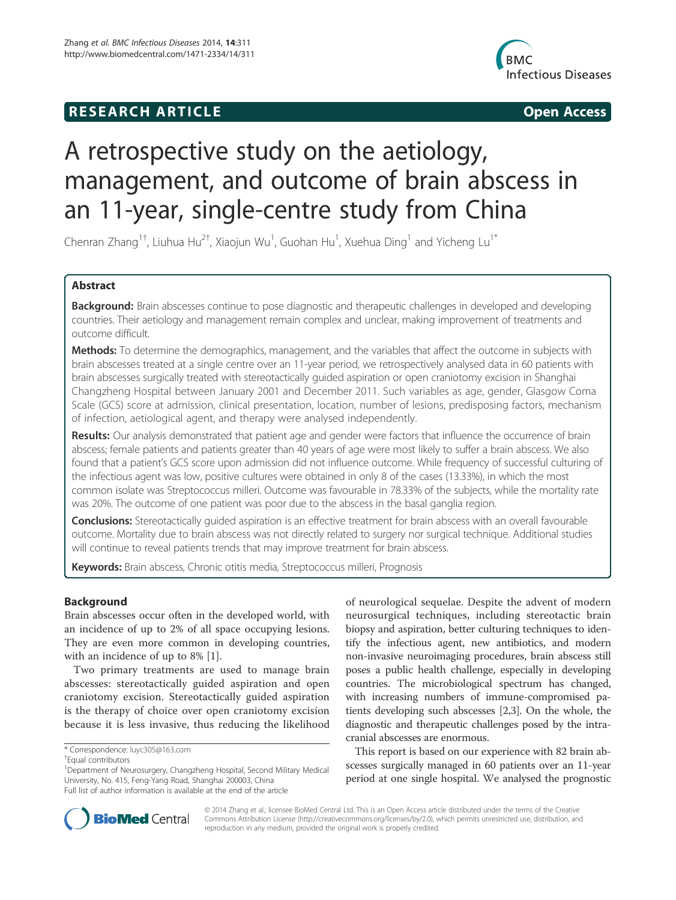## **RESEARCH ARTICLE Example 2014 The SEAR CH ACCESS**



# A retrospective study on the aetiology, management, and outcome of brain abscess in an 11-year, single-centre study from China

Chenran Zhang<sup>1†</sup>, Liuhua Hu<sup>2†</sup>, Xiaojun Wu<sup>1</sup>, Guohan Hu<sup>1</sup>, Xuehua Ding<sup>1</sup> and Yicheng Lu<sup>1\*</sup>

## Abstract

Background: Brain abscesses continue to pose diagnostic and therapeutic challenges in developed and developing countries. Their aetiology and management remain complex and unclear, making improvement of treatments and outcome difficult.

Methods: To determine the demographics, management, and the variables that affect the outcome in subjects with brain abscesses treated at a single centre over an 11-year period, we retrospectively analysed data in 60 patients with brain abscesses surgically treated with stereotactically guided aspiration or open craniotomy excision in Shanghai Changzheng Hospital between January 2001 and December 2011. Such variables as age, gender, Glasgow Coma Scale (GCS) score at admission, clinical presentation, location, number of lesions, predisposing factors, mechanism of infection, aetiological agent, and therapy were analysed independently.

Results: Our analysis demonstrated that patient age and gender were factors that influence the occurrence of brain abscess; female patients and patients greater than 40 years of age were most likely to suffer a brain abscess. We also found that a patient's GCS score upon admission did not influence outcome. While frequency of successful culturing of the infectious agent was low, positive cultures were obtained in only 8 of the cases (13.33%), in which the most common isolate was Streptococcus milleri. Outcome was favourable in 78.33% of the subjects, while the mortality rate was 20%. The outcome of one patient was poor due to the abscess in the basal ganglia region.

**Conclusions:** Stereotactically guided aspiration is an effective treatment for brain abscess with an overall favourable outcome. Mortality due to brain abscess was not directly related to surgery nor surgical technique. Additional studies will continue to reveal patients trends that may improve treatment for brain abscess.

Keywords: Brain abscess, Chronic otitis media, Streptococcus milleri, Prognosis

## Background

Brain abscesses occur often in the developed world, with an incidence of up to 2% of all space occupying lesions. They are even more common in developing countries, with an incidence of up to 8% [1].

Two primary treatments are used to manage brain abscesses: stereotactically guided aspiration and open craniotomy excision. Stereotactically guided aspiration is the therapy of choice over open craniotomy excision because it is less invasive, thus reducing the likelihood of neurological sequelae. Despite the advent of modern neurosurgical techniques, including stereotactic brain biopsy and aspiration, better culturing techniques to identify the infectious agent, new antibiotics, and modern non-invasive neuroimaging procedures, brain abscess still poses a public health challenge, especially in developing countries. The microbiological spectrum has changed, with increasing numbers of immune-compromised patients developing such abscesses [2,3]. On the whole, the diagnostic and therapeutic challenges posed by the intracranial abscesses are enormous.

This report is based on our experience with 82 brain abscesses surgically managed in 60 patients over an 11-year period at one single hospital. We analysed the prognostic



© 2014 Zhang et al.; licensee BioMed Central Ltd. This is an Open Access article distributed under the terms of the Creative Commons Attribution License (http://creativecommons.org/licenses/by/2.0), which permits unrestricted use, distribution, and reproduction in any medium, provided the original work is properly credited.

<sup>\*</sup> Correspondence: luyc305@163.com †

Equal contributors

<sup>&</sup>lt;sup>1</sup>Department of Neurosurgery, Changzheng Hospital, Second Military Medical University, No. 415, Feng-Yang Road, Shanghai 200003, China Full list of author information is available at the end of the article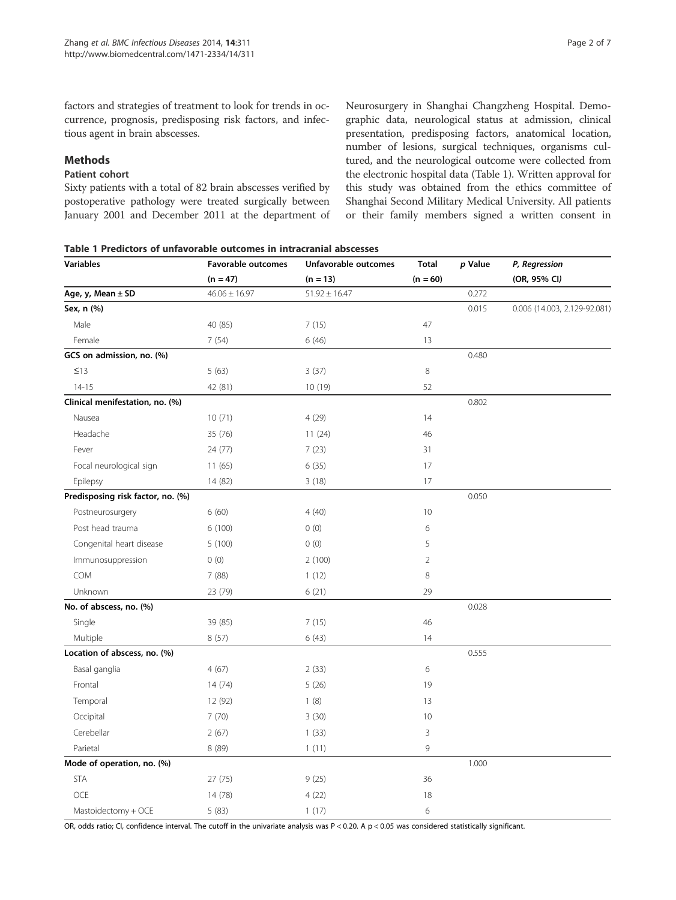factors and strategies of treatment to look for trends in occurrence, prognosis, predisposing risk factors, and infectious agent in brain abscesses.

## Methods

## Patient cohort

Sixty patients with a total of 82 brain abscesses verified by postoperative pathology were treated surgically between January 2001 and December 2011 at the department of Neurosurgery in Shanghai Changzheng Hospital. Demographic data, neurological status at admission, clinical presentation, predisposing factors, anatomical location, number of lesions, surgical techniques, organisms cultured, and the neurological outcome were collected from the electronic hospital data (Table 1). Written approval for this study was obtained from the ethics committee of Shanghai Second Military Medical University. All patients or their family members signed a written consent in

Table 1 Predictors of unfavorable outcomes in intracranial abscesses

| <b>Variables</b>                  | <b>Favorable outcomes</b> | Unfavorable outcomes | <b>Total</b>   | p Value | P, Regression                |  |
|-----------------------------------|---------------------------|----------------------|----------------|---------|------------------------------|--|
|                                   | $(n = 47)$                | $(n = 13)$           | $(n = 60)$     |         | (OR, 95% CI)                 |  |
| Age, $y$ , Mean $\pm$ SD          | $46.06 \pm 16.97$         | $51.92 \pm 16.47$    |                | 0.272   |                              |  |
| Sex, n (%)                        |                           |                      |                | 0.015   | 0.006 (14.003, 2.129-92.081) |  |
| Male                              | 40 (85)                   | 7(15)                | 47             |         |                              |  |
| Female                            | 7(54)                     | 6(46)                | 13             |         |                              |  |
| GCS on admission, no. (%)         |                           |                      |                | 0.480   |                              |  |
| $\leq$ 13                         | 5(63)                     | 3(37)                | $\,8\,$        |         |                              |  |
| $14 - 15$                         | 42 (81)                   | 10 (19)              | 52             |         |                              |  |
| Clinical menifestation, no. (%)   |                           |                      |                | 0.802   |                              |  |
| Nausea                            | 10(71)                    | 4(29)                | 14             |         |                              |  |
| Headache                          | 35 (76)                   | 11(24)               | 46             |         |                              |  |
| Fever                             | 24 (77)                   | 7(23)                | 31             |         |                              |  |
| Focal neurological sign           | 11(65)                    | 6(35)                | 17             |         |                              |  |
| Epilepsy                          | 14 (82)                   | 3(18)                | 17             |         |                              |  |
| Predisposing risk factor, no. (%) |                           |                      |                | 0.050   |                              |  |
| Postneurosurgery                  | 6(60)                     | 4(40)                | 10             |         |                              |  |
| Post head trauma                  | 6(100)                    | 0(0)                 | 6              |         |                              |  |
| Congenital heart disease          | 5(100)                    | 0(0)                 | 5              |         |                              |  |
| Immunosuppression                 | 0(0)                      | 2(100)               | $\overline{2}$ |         |                              |  |
| COM                               | 7(88)                     | 1(12)                | $\,8\,$        |         |                              |  |
| Unknown                           | 23 (79)                   | 6(21)                | 29             |         |                              |  |
| No. of abscess, no. (%)           |                           |                      |                | 0.028   |                              |  |
| Single                            | 39 (85)                   | 7(15)                | 46             |         |                              |  |
| Multiple                          | 8(57)                     | 6(43)                | 14             |         |                              |  |
| Location of abscess, no. (%)      |                           |                      |                | 0.555   |                              |  |
| Basal ganglia                     | 4(67)                     | 2(33)                | 6              |         |                              |  |
| Frontal                           | 14(74)                    | 5(26)                | 19             |         |                              |  |
| Temporal                          | 12 (92)                   | 1(8)                 | 13             |         |                              |  |
| Occipital                         | 7(70)                     | 3(30)                | 10             |         |                              |  |
| Cerebellar                        | 2(67)                     | 1(33)                | 3              |         |                              |  |
| Parietal                          | 8 (89)                    | 1(11)                | 9              |         |                              |  |
| Mode of operation, no. (%)        |                           |                      |                | 1.000   |                              |  |
| <b>STA</b>                        | 27(75)                    | 9(25)                | 36             |         |                              |  |
| <b>OCE</b>                        | 14 (78)                   | 4(22)                | 18             |         |                              |  |
| Mastoidectomy + OCE               | 5(83)                     | 1(17)                | 6              |         |                              |  |

OR, odds ratio; CI, confidence interval. The cutoff in the univariate analysis was  $P < 0.20$ . A  $p < 0.05$  was considered statistically significant.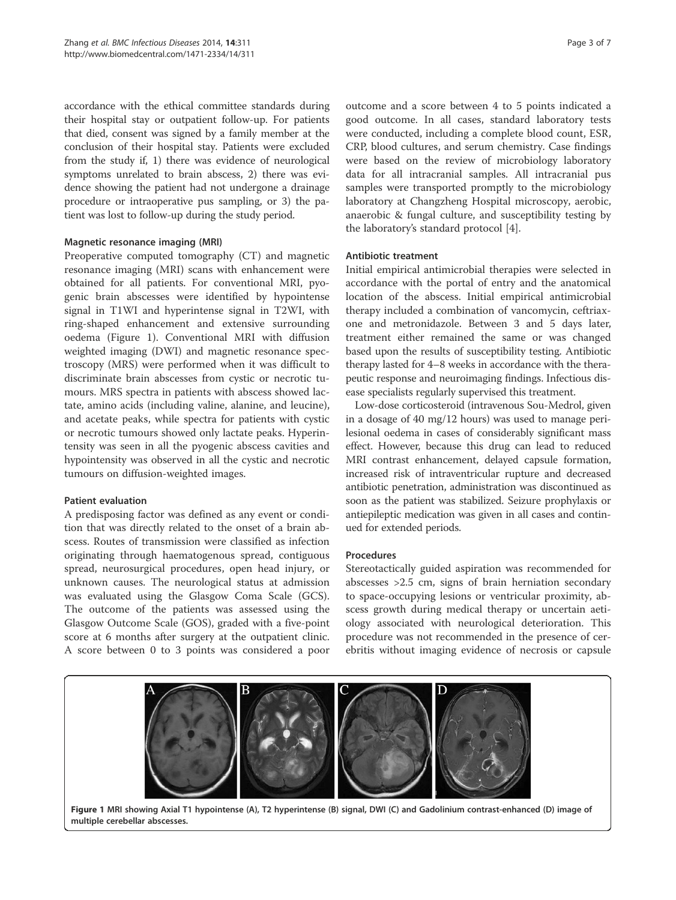accordance with the ethical committee standards during their hospital stay or outpatient follow-up. For patients that died, consent was signed by a family member at the conclusion of their hospital stay. Patients were excluded from the study if, 1) there was evidence of neurological symptoms unrelated to brain abscess, 2) there was evidence showing the patient had not undergone a drainage procedure or intraoperative pus sampling, or 3) the patient was lost to follow-up during the study period.

#### Magnetic resonance imaging (MRI)

Preoperative computed tomography (CT) and magnetic resonance imaging (MRI) scans with enhancement were obtained for all patients. For conventional MRI, pyogenic brain abscesses were identified by hypointense signal in T1WI and hyperintense signal in T2WI, with ring-shaped enhancement and extensive surrounding oedema (Figure 1). Conventional MRI with diffusion weighted imaging (DWI) and magnetic resonance spectroscopy (MRS) were performed when it was difficult to discriminate brain abscesses from cystic or necrotic tumours. MRS spectra in patients with abscess showed lactate, amino acids (including valine, alanine, and leucine), and acetate peaks, while spectra for patients with cystic or necrotic tumours showed only lactate peaks. Hyperintensity was seen in all the pyogenic abscess cavities and hypointensity was observed in all the cystic and necrotic tumours on diffusion-weighted images.

## Patient evaluation

A predisposing factor was defined as any event or condition that was directly related to the onset of a brain abscess. Routes of transmission were classified as infection originating through haematogenous spread, contiguous spread, neurosurgical procedures, open head injury, or unknown causes. The neurological status at admission was evaluated using the Glasgow Coma Scale (GCS). The outcome of the patients was assessed using the Glasgow Outcome Scale (GOS), graded with a five-point score at 6 months after surgery at the outpatient clinic. A score between 0 to 3 points was considered a poor

outcome and a score between 4 to 5 points indicated a good outcome. In all cases, standard laboratory tests were conducted, including a complete blood count, ESR, CRP, blood cultures, and serum chemistry. Case findings were based on the review of microbiology laboratory data for all intracranial samples. All intracranial pus samples were transported promptly to the microbiology laboratory at Changzheng Hospital microscopy, aerobic, anaerobic & fungal culture, and susceptibility testing by the laboratory's standard protocol [4].

#### Antibiotic treatment

Initial empirical antimicrobial therapies were selected in accordance with the portal of entry and the anatomical location of the abscess. Initial empirical antimicrobial therapy included a combination of vancomycin, ceftriaxone and metronidazole. Between 3 and 5 days later, treatment either remained the same or was changed based upon the results of susceptibility testing. Antibiotic therapy lasted for 4–8 weeks in accordance with the therapeutic response and neuroimaging findings. Infectious disease specialists regularly supervised this treatment.

Low-dose corticosteroid (intravenous Sou-Medrol, given in a dosage of 40 mg/12 hours) was used to manage perilesional oedema in cases of considerably significant mass effect. However, because this drug can lead to reduced MRI contrast enhancement, delayed capsule formation, increased risk of intraventricular rupture and decreased antibiotic penetration, administration was discontinued as soon as the patient was stabilized. Seizure prophylaxis or antiepileptic medication was given in all cases and continued for extended periods.

#### Procedures

Stereotactically guided aspiration was recommended for abscesses >2.5 cm, signs of brain herniation secondary to space-occupying lesions or ventricular proximity, abscess growth during medical therapy or uncertain aetiology associated with neurological deterioration. This procedure was not recommended in the presence of cerebritis without imaging evidence of necrosis or capsule

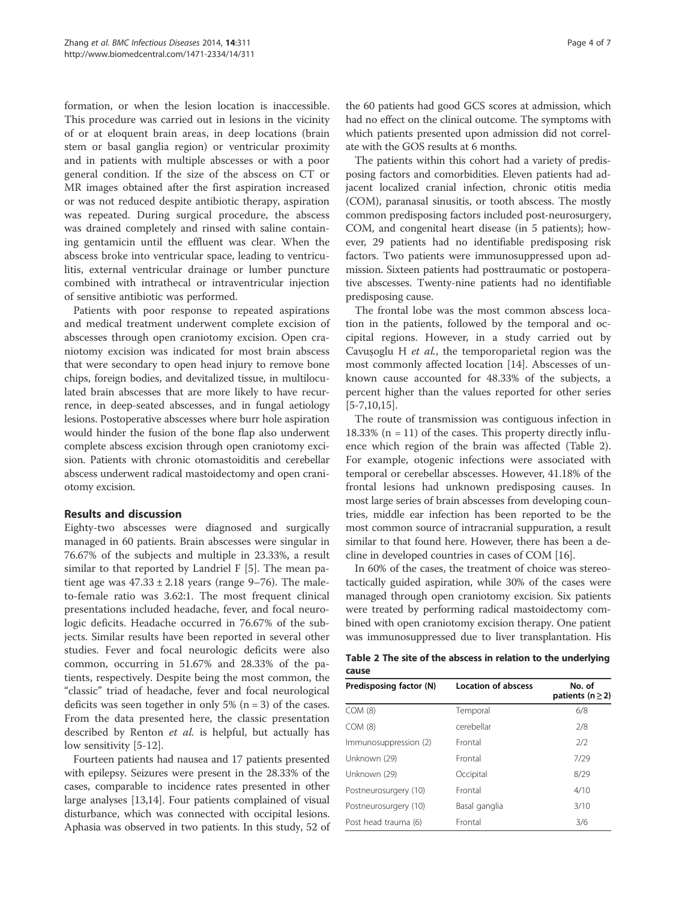formation, or when the lesion location is inaccessible. This procedure was carried out in lesions in the vicinity of or at eloquent brain areas, in deep locations (brain stem or basal ganglia region) or ventricular proximity and in patients with multiple abscesses or with a poor general condition. If the size of the abscess on CT or MR images obtained after the first aspiration increased or was not reduced despite antibiotic therapy, aspiration was repeated. During surgical procedure, the abscess was drained completely and rinsed with saline containing gentamicin until the effluent was clear. When the abscess broke into ventricular space, leading to ventriculitis, external ventricular drainage or lumber puncture combined with intrathecal or intraventricular injection of sensitive antibiotic was performed.

Patients with poor response to repeated aspirations and medical treatment underwent complete excision of abscesses through open craniotomy excision. Open craniotomy excision was indicated for most brain abscess that were secondary to open head injury to remove bone chips, foreign bodies, and devitalized tissue, in multiloculated brain abscesses that are more likely to have recurrence, in deep-seated abscesses, and in fungal aetiology lesions. Postoperative abscesses where burr hole aspiration would hinder the fusion of the bone flap also underwent complete abscess excision through open craniotomy excision. Patients with chronic otomastoiditis and cerebellar abscess underwent radical mastoidectomy and open craniotomy excision.

## Results and discussion

Eighty-two abscesses were diagnosed and surgically managed in 60 patients. Brain abscesses were singular in 76.67% of the subjects and multiple in 23.33%, a result similar to that reported by Landriel F [5]. The mean patient age was  $47.33 \pm 2.18$  years (range 9–76). The maleto-female ratio was 3.62:1. The most frequent clinical presentations included headache, fever, and focal neurologic deficits. Headache occurred in 76.67% of the subjects. Similar results have been reported in several other studies. Fever and focal neurologic deficits were also common, occurring in 51.67% and 28.33% of the patients, respectively. Despite being the most common, the "classic" triad of headache, fever and focal neurological deficits was seen together in only 5% ( $n = 3$ ) of the cases. From the data presented here, the classic presentation described by Renton et al. is helpful, but actually has low sensitivity [5-12].

Fourteen patients had nausea and 17 patients presented with epilepsy. Seizures were present in the 28.33% of the cases, comparable to incidence rates presented in other large analyses [13,14]. Four patients complained of visual disturbance, which was connected with occipital lesions. Aphasia was observed in two patients. In this study, 52 of

the 60 patients had good GCS scores at admission, which had no effect on the clinical outcome. The symptoms with which patients presented upon admission did not correlate with the GOS results at 6 months.

The patients within this cohort had a variety of predisposing factors and comorbidities. Eleven patients had adjacent localized cranial infection, chronic otitis media (COM), paranasal sinusitis, or tooth abscess. The mostly common predisposing factors included post-neurosurgery, COM, and congenital heart disease (in 5 patients); however, 29 patients had no identifiable predisposing risk factors. Two patients were immunosuppressed upon admission. Sixteen patients had posttraumatic or postoperative abscesses. Twenty-nine patients had no identifiable predisposing cause.

The frontal lobe was the most common abscess location in the patients, followed by the temporal and occipital regions. However, in a study carried out by Cavuşoglu H et al., the temporoparietal region was the most commonly affected location [14]. Abscesses of unknown cause accounted for 48.33% of the subjects, a percent higher than the values reported for other series  $[5 - 7, 10, 15]$ .

The route of transmission was contiguous infection in 18.33% ( $n = 11$ ) of the cases. This property directly influence which region of the brain was affected (Table 2). For example, otogenic infections were associated with temporal or cerebellar abscesses. However, 41.18% of the frontal lesions had unknown predisposing causes. In most large series of brain abscesses from developing countries, middle ear infection has been reported to be the most common source of intracranial suppuration, a result similar to that found here. However, there has been a decline in developed countries in cases of COM [16].

In 60% of the cases, the treatment of choice was stereotactically guided aspiration, while 30% of the cases were managed through open craniotomy excision. Six patients were treated by performing radical mastoidectomy combined with open craniotomy excision therapy. One patient was immunosuppressed due to liver transplantation. His

|       | Table 2 The site of the abscess in relation to the underlying |  |  |  |  |
|-------|---------------------------------------------------------------|--|--|--|--|
| cause |                                                               |  |  |  |  |

| Predisposing factor (N) | <b>Location of abscess</b> | No. of<br>patients (n $\geq$ 2) |
|-------------------------|----------------------------|---------------------------------|
| COM(8)                  | Temporal                   | 6/8                             |
| COM (8)                 | cerebellar                 | 2/8                             |
| Immunosuppression (2)   | Frontal                    | 2/2                             |
| Unknown (29)            | Frontal                    | 7/29                            |
| Unknown (29)            | Occipital                  | 8/29                            |
| Postneurosurgery (10)   | Frontal                    | 4/10                            |
| Postneurosurgery (10)   | Basal ganglia              | 3/10                            |
| Post head trauma (6)    | Frontal                    | 3/6                             |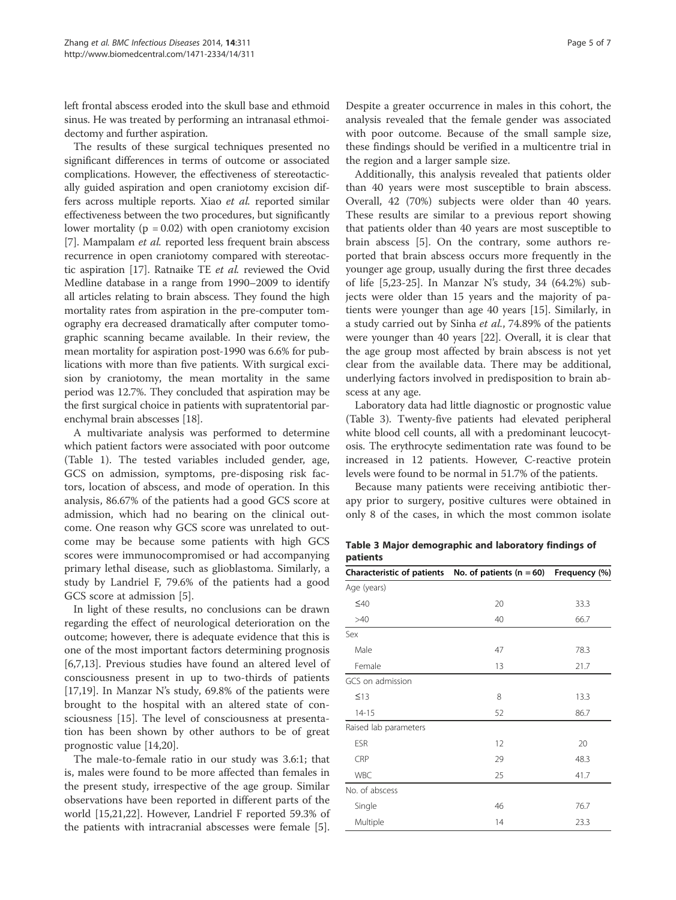left frontal abscess eroded into the skull base and ethmoid sinus. He was treated by performing an intranasal ethmoidectomy and further aspiration.

The results of these surgical techniques presented no significant differences in terms of outcome or associated complications. However, the effectiveness of stereotactically guided aspiration and open craniotomy excision differs across multiple reports. Xiao et al. reported similar effectiveness between the two procedures, but significantly lower mortality ( $p = 0.02$ ) with open craniotomy excision [7]. Mampalam et al. reported less frequent brain abscess recurrence in open craniotomy compared with stereotactic aspiration [17]. Ratnaike TE et al. reviewed the Ovid Medline database in a range from 1990–2009 to identify all articles relating to brain abscess. They found the high mortality rates from aspiration in the pre-computer tomography era decreased dramatically after computer tomographic scanning became available. In their review, the mean mortality for aspiration post-1990 was 6.6% for publications with more than five patients. With surgical excision by craniotomy, the mean mortality in the same period was 12.7%. They concluded that aspiration may be the first surgical choice in patients with supratentorial parenchymal brain abscesses [18].

A multivariate analysis was performed to determine which patient factors were associated with poor outcome (Table 1). The tested variables included gender, age, GCS on admission, symptoms, pre-disposing risk factors, location of abscess, and mode of operation. In this analysis, 86.67% of the patients had a good GCS score at admission, which had no bearing on the clinical outcome. One reason why GCS score was unrelated to outcome may be because some patients with high GCS scores were immunocompromised or had accompanying primary lethal disease, such as glioblastoma. Similarly, a study by Landriel F, 79.6% of the patients had a good GCS score at admission [5].

In light of these results, no conclusions can be drawn regarding the effect of neurological deterioration on the outcome; however, there is adequate evidence that this is one of the most important factors determining prognosis [6,7,13]. Previous studies have found an altered level of consciousness present in up to two-thirds of patients [17,19]. In Manzar N's study, 69.8% of the patients were brought to the hospital with an altered state of consciousness [15]. The level of consciousness at presentation has been shown by other authors to be of great prognostic value [14,20].

The male-to-female ratio in our study was 3.6:1; that is, males were found to be more affected than females in the present study, irrespective of the age group. Similar observations have been reported in different parts of the world [15,21,22]. However, Landriel F reported 59.3% of the patients with intracranial abscesses were female [5].

Despite a greater occurrence in males in this cohort, the analysis revealed that the female gender was associated with poor outcome. Because of the small sample size, these findings should be verified in a multicentre trial in the region and a larger sample size.

Additionally, this analysis revealed that patients older than 40 years were most susceptible to brain abscess. Overall, 42 (70%) subjects were older than 40 years. These results are similar to a previous report showing that patients older than 40 years are most susceptible to brain abscess [5]. On the contrary, some authors reported that brain abscess occurs more frequently in the younger age group, usually during the first three decades of life [5,23-25]. In Manzar N's study, 34 (64.2%) subjects were older than 15 years and the majority of patients were younger than age 40 years [15]. Similarly, in a study carried out by Sinha et al., 74.89% of the patients were younger than 40 years [22]. Overall, it is clear that the age group most affected by brain abscess is not yet clear from the available data. There may be additional, underlying factors involved in predisposition to brain abscess at any age.

Laboratory data had little diagnostic or prognostic value (Table 3). Twenty-five patients had elevated peripheral white blood cell counts, all with a predominant leucocytosis. The erythrocyte sedimentation rate was found to be increased in 12 patients. However, C-reactive protein levels were found to be normal in 51.7% of the patients.

Because many patients were receiving antibiotic therapy prior to surgery, positive cultures were obtained in only 8 of the cases, in which the most common isolate

Table 3 Major demographic and laboratory findings of patients

| Characteristic of patients | No. of patients $(n = 60)$ | Frequency (%) |
|----------------------------|----------------------------|---------------|
| Age (years)                |                            |               |
| $\leq 40$                  | 20                         | 33.3          |
| >40                        | 40                         | 66.7          |
| Sex                        |                            |               |
| Male                       | 47                         | 78.3          |
| Female                     | 13                         | 21.7          |
| GCS on admission           |                            |               |
| $\leq$ 13                  | 8                          | 13.3          |
| $14 - 15$                  | 52                         | 86.7          |
| Raised lab parameters      |                            |               |
| <b>ESR</b>                 | 12                         | 20            |
| CRP                        | 29                         | 48.3          |
| <b>WBC</b>                 | 25                         | 41.7          |
| No. of abscess             |                            |               |
| Single                     | 46                         | 76.7          |
| Multiple                   | 14                         | 23.3          |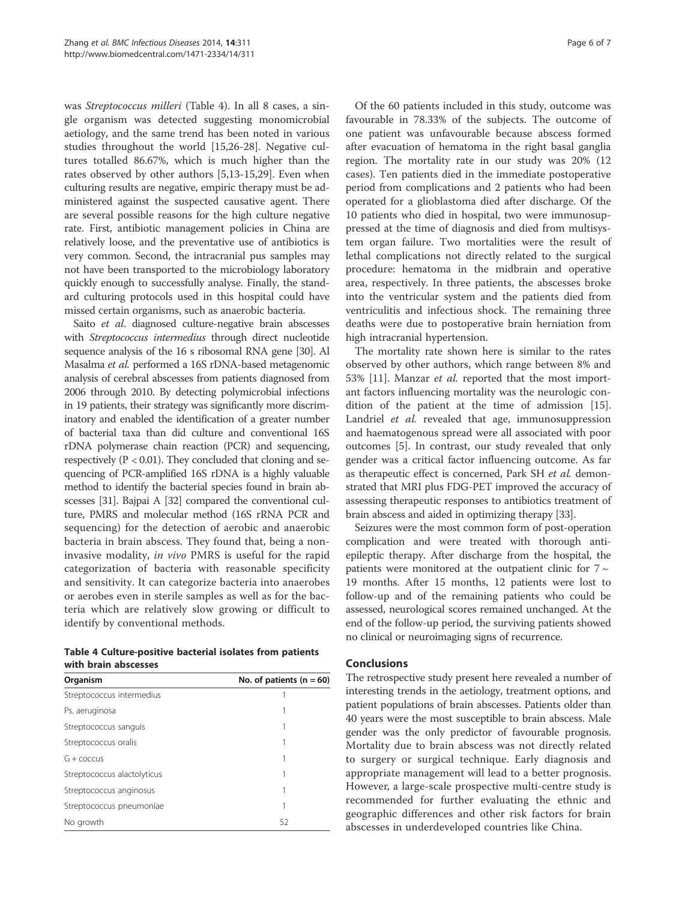was Streptococcus milleri (Table 4). In all 8 cases, a single organism was detected suggesting monomicrobial aetiology, and the same trend has been noted in various studies throughout the world [15,26-28]. Negative cultures totalled 86.67%, which is much higher than the rates observed by other authors [5,13-15,29]. Even when culturing results are negative, empiric therapy must be administered against the suspected causative agent. There are several possible reasons for the high culture negative rate. First, antibiotic management policies in China are relatively loose, and the preventative use of antibiotics is very common. Second, the intracranial pus samples may not have been transported to the microbiology laboratory quickly enough to successfully analyse. Finally, the standard culturing protocols used in this hospital could have missed certain organisms, such as anaerobic bacteria.

Saito et al. diagnosed culture-negative brain abscesses with Streptococcus intermedius through direct nucleotide sequence analysis of the 16 s ribosomal RNA gene [30]. Al Masalma et al. performed a 16S rDNA-based metagenomic analysis of cerebral abscesses from patients diagnosed from 2006 through 2010. By detecting polymicrobial infections in 19 patients, their strategy was significantly more discriminatory and enabled the identification of a greater number of bacterial taxa than did culture and conventional 16S rDNA polymerase chain reaction (PCR) and sequencing, respectively ( $P < 0.01$ ). They concluded that cloning and sequencing of PCR-amplified 16S rDNA is a highly valuable method to identify the bacterial species found in brain abscesses [31]. Bajpai A [32] compared the conventional culture, PMRS and molecular method (16S rRNA PCR and sequencing) for the detection of aerobic and anaerobic bacteria in brain abscess. They found that, being a noninvasive modality, in vivo PMRS is useful for the rapid categorization of bacteria with reasonable specificity and sensitivity. It can categorize bacteria into anaerobes or aerobes even in sterile samples as well as for the bacteria which are relatively slow growing or difficult to identify by conventional methods.

Table 4 Culture-positive bacterial isolates from patients with brain abscesses

| Organism                    | No. of patients ( $n = 60$ ) |  |  |
|-----------------------------|------------------------------|--|--|
| Streptococcus intermedius   |                              |  |  |
| Ps. aeruginosa              |                              |  |  |
| Streptococcus sanguis       |                              |  |  |
| Streptococcus oralis        |                              |  |  |
| $G +$ coccus                |                              |  |  |
| Streptococcus alactolyticus |                              |  |  |
| Streptococcus anginosus     |                              |  |  |
| Streptococcus pneumoniae    |                              |  |  |
| No growth                   | 52                           |  |  |

Of the 60 patients included in this study, outcome was favourable in 78.33% of the subjects. The outcome of one patient was unfavourable because abscess formed after evacuation of hematoma in the right basal ganglia region. The mortality rate in our study was 20% (12 cases). Ten patients died in the immediate postoperative period from complications and 2 patients who had been operated for a glioblastoma died after discharge. Of the 10 patients who died in hospital, two were immunosuppressed at the time of diagnosis and died from multisystem organ failure. Two mortalities were the result of lethal complications not directly related to the surgical procedure: hematoma in the midbrain and operative area, respectively. In three patients, the abscesses broke into the ventricular system and the patients died from ventriculitis and infectious shock. The remaining three deaths were due to postoperative brain herniation from high intracranial hypertension.

The mortality rate shown here is similar to the rates observed by other authors, which range between 8% and 53% [11]. Manzar *et al.* reported that the most important factors influencing mortality was the neurologic condition of the patient at the time of admission [15]. Landriel et al. revealed that age, immunosuppression and haematogenous spread were all associated with poor outcomes [5]. In contrast, our study revealed that only gender was a critical factor influencing outcome. As far as therapeutic effect is concerned, Park SH et al. demonstrated that MRI plus FDG-PET improved the accuracy of assessing therapeutic responses to antibiotics treatment of brain abscess and aided in optimizing therapy [33].

Seizures were the most common form of post-operation complication and were treated with thorough antiepileptic therapy. After discharge from the hospital, the patients were monitored at the outpatient clinic for  $7 \sim$ 19 months. After 15 months, 12 patients were lost to follow-up and of the remaining patients who could be assessed, neurological scores remained unchanged. At the end of the follow-up period, the surviving patients showed no clinical or neuroimaging signs of recurrence.

## Conclusions

The retrospective study present here revealed a number of interesting trends in the aetiology, treatment options, and patient populations of brain abscesses. Patients older than 40 years were the most susceptible to brain abscess. Male gender was the only predictor of favourable prognosis. Mortality due to brain abscess was not directly related to surgery or surgical technique. Early diagnosis and appropriate management will lead to a better prognosis. However, a large-scale prospective multi-centre study is recommended for further evaluating the ethnic and geographic differences and other risk factors for brain abscesses in underdeveloped countries like China.